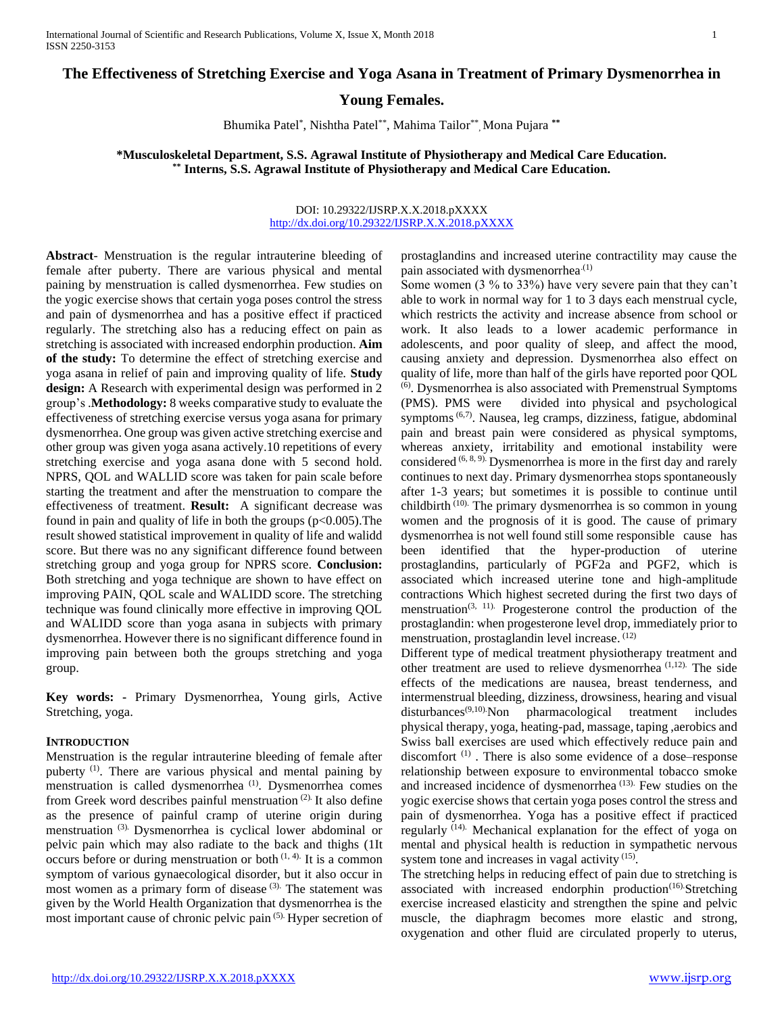# **Young Females.**

Bhumika Patel\* , Nishtha Patel\*\* , Mahima Tailor\*\* , Mona Pujara **\*\***

# **\*Musculoskeletal Department, S.S. Agrawal Institute of Physiotherapy and Medical Care Education. \*\* Interns, S.S. Agrawal Institute of Physiotherapy and Medical Care Education.**

#### DOI: 10.29322/IJSRP.X.X.2018.pXXXX <http://dx.doi.org/10.29322/IJSRP.X.X.2018.pXXXX>

**Abstract**- Menstruation is the regular intrauterine bleeding of female after puberty. There are various physical and mental paining by menstruation is called dysmenorrhea. Few studies on the yogic exercise shows that certain yoga poses control the stress and pain of dysmenorrhea and has a positive effect if practiced regularly. The stretching also has a reducing effect on pain as stretching is associated with increased endorphin production. **Aim of the study:** To determine the effect of stretching exercise and yoga asana in relief of pain and improving quality of life. **Study design:** A Research with experimental design was performed in 2 group's .**Methodology:** 8 weeks comparative study to evaluate the effectiveness of stretching exercise versus yoga asana for primary dysmenorrhea. One group was given active stretching exercise and other group was given yoga asana actively.10 repetitions of every stretching exercise and yoga asana done with 5 second hold. NPRS, QOL and WALLID score was taken for pain scale before starting the treatment and after the menstruation to compare the effectiveness of treatment. **Result:** A significant decrease was found in pain and quality of life in both the groups  $(p<0.005)$ . The result showed statistical improvement in quality of life and walidd score. But there was no any significant difference found between stretching group and yoga group for NPRS score. **Conclusion:**  Both stretching and yoga technique are shown to have effect on improving PAIN, QOL scale and WALIDD score. The stretching technique was found clinically more effective in improving QOL and WALIDD score than yoga asana in subjects with primary dysmenorrhea. However there is no significant difference found in improving pain between both the groups stretching and yoga group.

**Key words: -** Primary Dysmenorrhea, Young girls, Active Stretching, yoga.

# **INTRODUCTION**

Menstruation is the regular intrauterine bleeding of female after puberty (1). There are various physical and mental paining by menstruation is called dysmenorrhea (1). Dysmenorrhea comes from Greek word describes painful menstruation (2). It also define as the presence of painful cramp of uterine origin during menstruation (3). Dysmenorrhea is cyclical lower abdominal or pelvic pain which may also radiate to the back and thighs (1It occurs before or during menstruation or both  $(1, 4)$ . It is a common symptom of various gynaecological disorder, but it also occur in most women as a primary form of disease <sup>(3).</sup> The statement was given by the World Health Organization that dysmenorrhea is the most important cause of chronic pelvic pain (5). Hyper secretion of prostaglandins and increased uterine contractility may cause the pain associated with dysmenorrhea<sup>.(1)</sup>

Some women (3 % to 33%) have very severe pain that they can't able to work in normal way for 1 to 3 days each menstrual cycle, which restricts the activity and increase absence from school or work. It also leads to a lower academic performance in adolescents, and poor quality of sleep, and affect the mood, causing anxiety and depression. Dysmenorrhea also effect on quality of life, more than half of the girls have reported poor QOL  $(6)$ . Dysmenorrhea is also associated with Premenstrual Symptoms (PMS). PMS were divided into physical and psychological symptoms<sup>(6,7)</sup>. Nausea, leg cramps, dizziness, fatigue, abdominal pain and breast pain were considered as physical symptoms, whereas anxiety, irritability and emotional instability were considered  $(6, 8, 9)$ . Dysmenorrhea is more in the first day and rarely continues to next day. Primary dysmenorrhea stops spontaneously after 1-3 years; but sometimes it is possible to continue until childbirth (10). The primary dysmenorrhea is so common in young women and the prognosis of it is good. The cause of primary dysmenorrhea is not well found still some responsible cause has been identified that the hyper-production of uterine prostaglandins, particularly of PGF2a and PGF2, which is associated which increased uterine tone and high-amplitude contractions Which highest secreted during the first two days of menstruation<sup> $(3, 11)$ </sup>. Progesterone control the production of the prostaglandin: when progesterone level drop, immediately prior to menstruation, prostaglandin level increase. (12)

Different type of medical treatment physiotherapy treatment and other treatment are used to relieve dysmenorrhea (1,12). The side effects of the medications are nausea, breast tenderness, and intermenstrual bleeding, dizziness, drowsiness, hearing and visual disturbances<sup>(9,10)</sup>.Non pharmacological treatment includes physical therapy, yoga, heating-pad, massage, taping ,aerobics and Swiss ball exercises are used which effectively reduce pain and discomfort<sup>(1)</sup>. There is also some evidence of a dose–response relationship between exposure to environmental tobacco smoke and increased incidence of dysmenorrhea (13). Few studies on the yogic exercise shows that certain yoga poses control the stress and pain of dysmenorrhea. Yoga has a positive effect if practiced regularly (14). Mechanical explanation for the effect of yoga on mental and physical health is reduction in sympathetic nervous system tone and increases in vagal activity  $(15)$ .

The stretching helps in reducing effect of pain due to stretching is associated with increased endorphin production $(16)$ . Stretching exercise increased elasticity and strengthen the spine and pelvic muscle, the diaphragm becomes more elastic and strong, oxygenation and other fluid are circulated properly to uterus,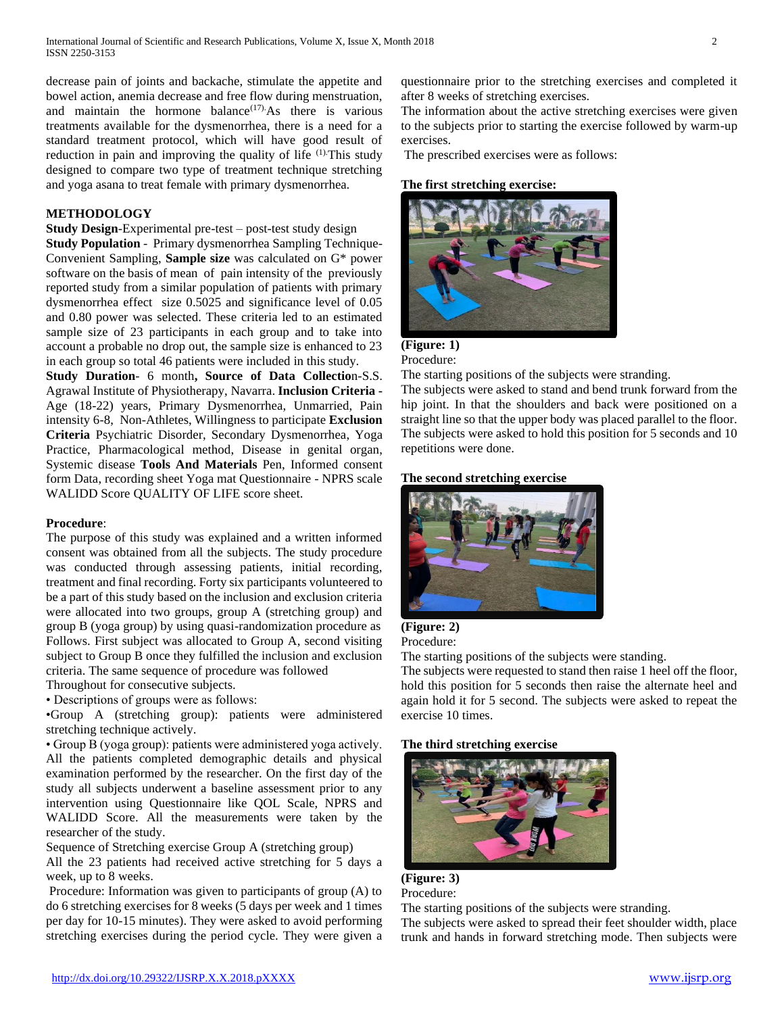decrease pain of joints and backache, stimulate the appetite and bowel action, anemia decrease and free flow during menstruation, and maintain the hormone balance $(17)$ . As there is various treatments available for the dysmenorrhea, there is a need for a standard treatment protocol, which will have good result of reduction in pain and improving the quality of life <sup>(1)</sup>This study designed to compare two type of treatment technique stretching and yoga asana to treat female with primary dysmenorrhea.

# **METHODOLOGY**

# **Study Design**-Experimental pre-test – post-test study design

**Study Population** - Primary dysmenorrhea Sampling Technique-Convenient Sampling, **Sample size** was calculated on G\* power software on the basis of mean of pain intensity of the previously reported study from a similar population of patients with primary dysmenorrhea effect size 0.5025 and significance level of 0.05 and 0.80 power was selected. These criteria led to an estimated sample size of 23 participants in each group and to take into account a probable no drop out, the sample size is enhanced to 23 in each group so total 46 patients were included in this study.

**Study Duration**- 6 month**, Source of Data Collectio**n-S.S. Agrawal Institute of Physiotherapy, Navarra. **Inclusion Criteria -** Age (18-22) years, Primary Dysmenorrhea, Unmarried, Pain intensity 6-8, Non-Athletes, Willingness to participate **Exclusion Criteria** Psychiatric Disorder, Secondary Dysmenorrhea, Yoga Practice, Pharmacological method, Disease in genital organ, Systemic disease **Tools And Materials** Pen, Informed consent form Data, recording sheet Yoga mat Questionnaire - NPRS scale WALIDD Score QUALITY OF LIFE score sheet.

### **Procedure**:

The purpose of this study was explained and a written informed consent was obtained from all the subjects. The study procedure was conducted through assessing patients, initial recording, treatment and final recording. Forty six participants volunteered to be a part of this study based on the inclusion and exclusion criteria were allocated into two groups, group A (stretching group) and group B (yoga group) by using quasi-randomization procedure as Follows. First subject was allocated to Group A, second visiting subject to Group B once they fulfilled the inclusion and exclusion criteria. The same sequence of procedure was followed

Throughout for consecutive subjects.

• Descriptions of groups were as follows:

•Group A (stretching group): patients were administered stretching technique actively.

• Group B (yoga group): patients were administered yoga actively. All the patients completed demographic details and physical examination performed by the researcher. On the first day of the study all subjects underwent a baseline assessment prior to any intervention using Questionnaire like QOL Scale, NPRS and WALIDD Score. All the measurements were taken by the researcher of the study.

Sequence of Stretching exercise Group A (stretching group)

All the 23 patients had received active stretching for 5 days a week, up to 8 weeks.

Procedure: Information was given to participants of group (A) to do 6 stretching exercises for 8 weeks (5 days per week and 1 times per day for 10-15 minutes). They were asked to avoid performing stretching exercises during the period cycle. They were given a

questionnaire prior to the stretching exercises and completed it after 8 weeks of stretching exercises.

The information about the active stretching exercises were given to the subjects prior to starting the exercise followed by warm-up exercises.

The prescribed exercises were as follows:

### **The first stretching exercise:**



#### **(Figure: 1)** Procedure:

The starting positions of the subjects were stranding.

The subjects were asked to stand and bend trunk forward from the hip joint. In that the shoulders and back were positioned on a straight line so that the upper body was placed parallel to the floor. The subjects were asked to hold this position for 5 seconds and 10 repetitions were done.

### **The second stretching exercise**



# **(Figure: 2)** Procedure:

The starting positions of the subjects were standing.

The subjects were requested to stand then raise 1 heel off the floor, hold this position for 5 seconds then raise the alternate heel and again hold it for 5 second. The subjects were asked to repeat the exercise 10 times.

### **The third stretching exercise**



**(Figure: 3)** Procedure:

The starting positions of the subjects were stranding.

The subjects were asked to spread their feet shoulder width, place trunk and hands in forward stretching mode. Then subjects were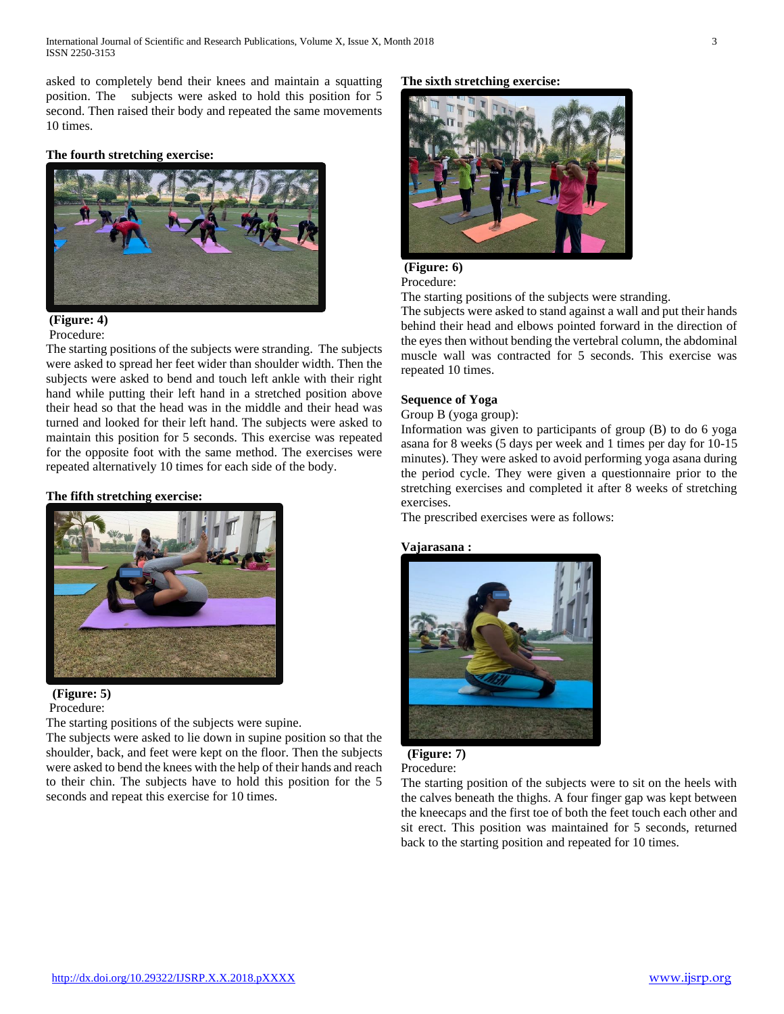asked to completely bend their knees and maintain a squatting position. The subjects were asked to hold this position for 5 second. Then raised their body and repeated the same movements 10 times.

**The fourth stretching exercise:**



# **(Figure: 4)**

Procedure:

The starting positions of the subjects were stranding. The subjects were asked to spread her feet wider than shoulder width. Then the subjects were asked to bend and touch left ankle with their right hand while putting their left hand in a stretched position above their head so that the head was in the middle and their head was turned and looked for their left hand. The subjects were asked to maintain this position for 5 seconds. This exercise was repeated for the opposite foot with the same method. The exercises were repeated alternatively 10 times for each side of the body.

# **The fifth stretching exercise:**



# **(Figure: 5)**

Procedure:

The starting positions of the subjects were supine.

The subjects were asked to lie down in supine position so that the shoulder, back, and feet were kept on the floor. Then the subjects were asked to bend the knees with the help of their hands and reach to their chin. The subjects have to hold this position for the 5 seconds and repeat this exercise for 10 times.

# **The sixth stretching exercise:**



**(Figure: 6)** Procedure:

The starting positions of the subjects were stranding.

The subjects were asked to stand against a wall and put their hands behind their head and elbows pointed forward in the direction of the eyes then without bending the vertebral column, the abdominal muscle wall was contracted for 5 seconds. This exercise was repeated 10 times.

# **Sequence of Yoga**

Group B (yoga group):

Information was given to participants of group (B) to do 6 yoga asana for 8 weeks (5 days per week and 1 times per day for 10-15 minutes). They were asked to avoid performing yoga asana during the period cycle. They were given a questionnaire prior to the stretching exercises and completed it after 8 weeks of stretching exercises.

The prescribed exercises were as follows:

# **Vajarasana :**



**(Figure: 7)**

Procedure:

The starting position of the subjects were to sit on the heels with the calves beneath the thighs. A four finger gap was kept between the kneecaps and the first toe of both the feet touch each other and sit erect. This position was maintained for 5 seconds, returned back to the starting position and repeated for 10 times.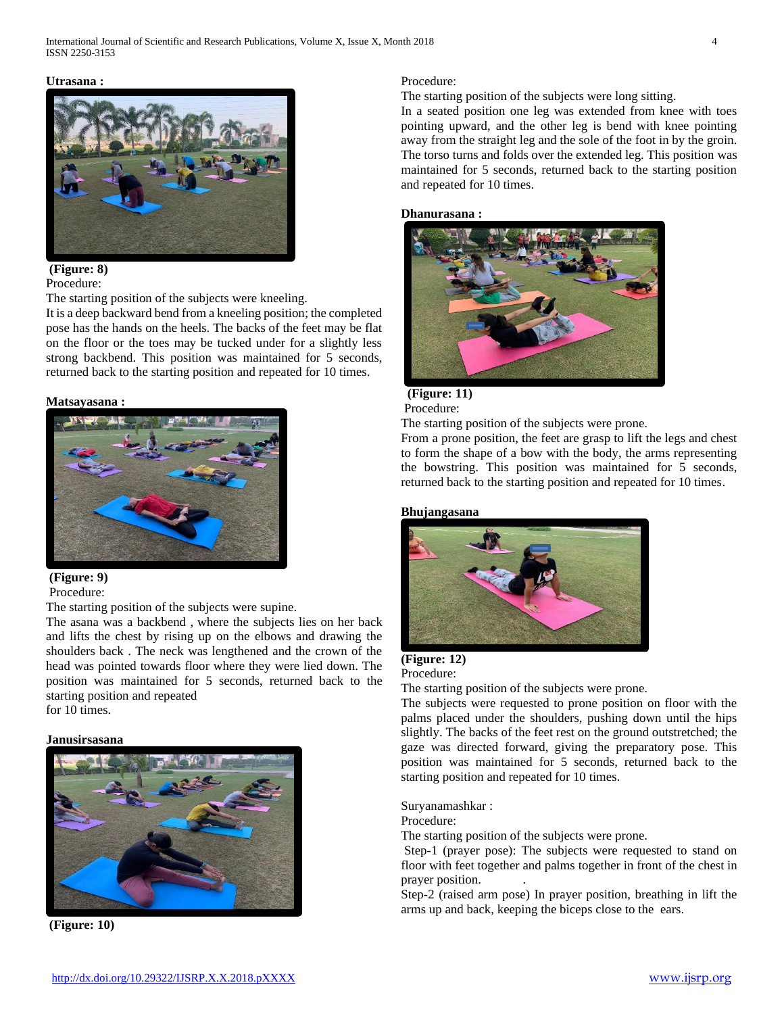### **Utrasana :**



# **(Figure: 8)**

Procedure:

The starting position of the subjects were kneeling.

It is a deep backward bend from a kneeling position; the completed pose has the hands on the heels. The backs of the feet may be flat on the floor or the toes may be tucked under for a slightly less strong backbend. This position was maintained for 5 seconds, returned back to the starting position and repeated for 10 times.

### **Matsayasana :**



# **(Figure: 9)**

Procedure:

The starting position of the subjects were supine.

The asana was a backbend , where the subjects lies on her back and lifts the chest by rising up on the elbows and drawing the shoulders back . The neck was lengthened and the crown of the head was pointed towards floor where they were lied down. The position was maintained for 5 seconds, returned back to the starting position and repeated for 10 times.

# **Janusirsasana**



**(Figure: 10)**

#### Procedure:

The starting position of the subjects were long sitting.

In a seated position one leg was extended from knee with toes pointing upward, and the other leg is bend with knee pointing away from the straight leg and the sole of the foot in by the groin. The torso turns and folds over the extended leg. This position was maintained for 5 seconds, returned back to the starting position and repeated for 10 times.

#### **Dhanurasana :**



### **(Figure: 11)** Procedure:

The starting position of the subjects were prone.

From a prone position, the feet are grasp to lift the legs and chest to form the shape of a bow with the body, the arms representing the bowstring. This position was maintained for 5 seconds, returned back to the starting position and repeated for 10 times.

#### **Bhujangasana**



# **(Figure: 12)**

# Procedure:

The starting position of the subjects were prone.

The subjects were requested to prone position on floor with the palms placed under the shoulders, pushing down until the hips slightly. The backs of the feet rest on the ground outstretched; the gaze was directed forward, giving the preparatory pose. This position was maintained for 5 seconds, returned back to the starting position and repeated for 10 times.

Suryanamashkar :

Procedure:

The starting position of the subjects were prone.

Step-1 (prayer pose): The subjects were requested to stand on floor with feet together and palms together in front of the chest in prayer position. .

Step-2 (raised arm pose) In prayer position, breathing in lift the arms up and back, keeping the biceps close to the ears.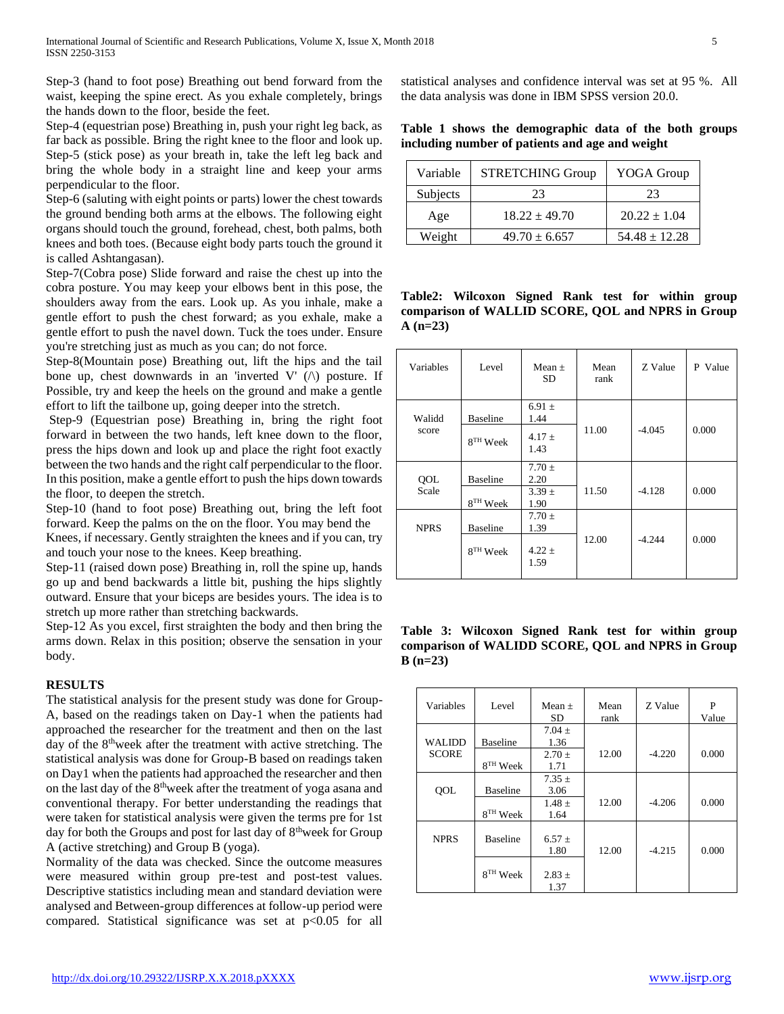Step-3 (hand to foot pose) Breathing out bend forward from the waist, keeping the spine erect. As you exhale completely, brings the hands down to the floor, beside the feet.

Step-4 (equestrian pose) Breathing in, push your right leg back, as far back as possible. Bring the right knee to the floor and look up. Step-5 (stick pose) as your breath in, take the left leg back and bring the whole body in a straight line and keep your arms perpendicular to the floor.

Step-6 (saluting with eight points or parts) lower the chest towards the ground bending both arms at the elbows. The following eight organs should touch the ground, forehead, chest, both palms, both knees and both toes. (Because eight body parts touch the ground it is called Ashtangasan).

Step-7(Cobra pose) Slide forward and raise the chest up into the cobra posture. You may keep your elbows bent in this pose, the shoulders away from the ears. Look up. As you inhale, make a gentle effort to push the chest forward; as you exhale, make a gentle effort to push the navel down. Tuck the toes under. Ensure you're stretching just as much as you can; do not force.

Step-8(Mountain pose) Breathing out, lift the hips and the tail bone up, chest downwards in an 'inverted V'  $(\wedge)$  posture. If Possible, try and keep the heels on the ground and make a gentle effort to lift the tailbone up, going deeper into the stretch.

Step-9 (Equestrian pose) Breathing in, bring the right foot forward in between the two hands, left knee down to the floor, press the hips down and look up and place the right foot exactly between the two hands and the right calf perpendicular to the floor. In this position, make a gentle effort to push the hips down towards the floor, to deepen the stretch.

Step-10 (hand to foot pose) Breathing out, bring the left foot forward. Keep the palms on the on the floor. You may bend the

Knees, if necessary. Gently straighten the knees and if you can, try and touch your nose to the knees. Keep breathing.

Step-11 (raised down pose) Breathing in, roll the spine up, hands go up and bend backwards a little bit, pushing the hips slightly outward. Ensure that your biceps are besides yours. The idea is to stretch up more rather than stretching backwards.

Step-12 As you excel, first straighten the body and then bring the arms down. Relax in this position; observe the sensation in your body.

# **RESULTS**

The statistical analysis for the present study was done for Group-A, based on the readings taken on Day-1 when the patients had approached the researcher for the treatment and then on the last day of the 8<sup>th</sup>week after the treatment with active stretching. The statistical analysis was done for Group-B based on readings taken on Day1 when the patients had approached the researcher and then on the last day of the 8<sup>th</sup>week after the treatment of yoga asana and conventional therapy. For better understanding the readings that were taken for statistical analysis were given the terms pre for 1st day for both the Groups and post for last day of  $8<sup>th</sup>$  week for Group A (active stretching) and Group B (yoga).

Normality of the data was checked. Since the outcome measures were measured within group pre-test and post-test values. Descriptive statistics including mean and standard deviation were analysed and Between-group differences at follow-up period were compared. Statistical significance was set at  $p<0.05$  for all statistical analyses and confidence interval was set at 95 %. All the data analysis was done in IBM SPSS version 20.0.

**Table 1 shows the demographic data of the both groups including number of patients and age and weight**

| Variable | <b>STRETCHING Group</b> | YOGA Group        |  |
|----------|-------------------------|-------------------|--|
| Subjects | 23                      | 23                |  |
| Age      | $18.22 \pm 49.70$       | $20.22 \pm 1.04$  |  |
| Weight   | $49.70 \pm 6.657$       | $54.48 \pm 12.28$ |  |

**Table2: Wilcoxon Signed Rank test for within group comparison of WALLID SCORE, QOL and NPRS in Group A (n=23)**

| Variables       | Level                                     | Mean $\pm$<br><b>SD</b>                  | Mean<br>rank | Z Value  | P<br>Value |
|-----------------|-------------------------------------------|------------------------------------------|--------------|----------|------------|
| Walidd<br>score | <b>Baseline</b><br>$8^{\mathrm{TH}}$ Week | $6.91 \pm$<br>1.44<br>$4.17 +$<br>1.43   | 11.00        | $-4.045$ | 0.000      |
| QOL<br>Scale    | <b>Baseline</b><br>$8^{\mathrm{TH}}$ Week | $7.70 \pm$<br>2.20<br>$3.39 \pm$<br>1.90 | 11.50        | $-4.128$ | 0.000      |
| <b>NPRS</b>     | <b>Baseline</b><br>8TH Week               | $7.70 \pm$<br>1.39<br>$4.22 \pm$<br>1.59 | 12.00        | $-4.244$ | 0.000      |

**Table 3: Wilcoxon Signed Rank test for within group comparison of WALIDD SCORE, QOL and NPRS in Group B (n=23)**

| Variables     | Level                | $Mean +$<br><b>SD</b> | Mean<br>rank | Z Value  | P<br>Value |
|---------------|----------------------|-----------------------|--------------|----------|------------|
| <b>WALIDD</b> | <b>Baseline</b>      | $7.04 \pm$<br>1.36    |              |          |            |
| <b>SCORE</b>  | 8 <sup>TH</sup> Week | $2.70 \pm$<br>1.71    | 12.00        | $-4.220$ | 0.000      |
| QOL           | <b>Baseline</b>      | $7.35 \pm$<br>3.06    |              |          |            |
|               | 8 <sup>TH</sup> Week | $1.48 \pm$<br>1.64    | 12.00        | $-4.206$ | 0.000      |
| <b>NPRS</b>   | <b>Baseline</b>      | $6.57 \pm$<br>1.80    | 12.00        | $-4.215$ | 0.000      |
|               | 8 <sup>TH</sup> Week | $2.83 \pm$<br>1.37    |              |          |            |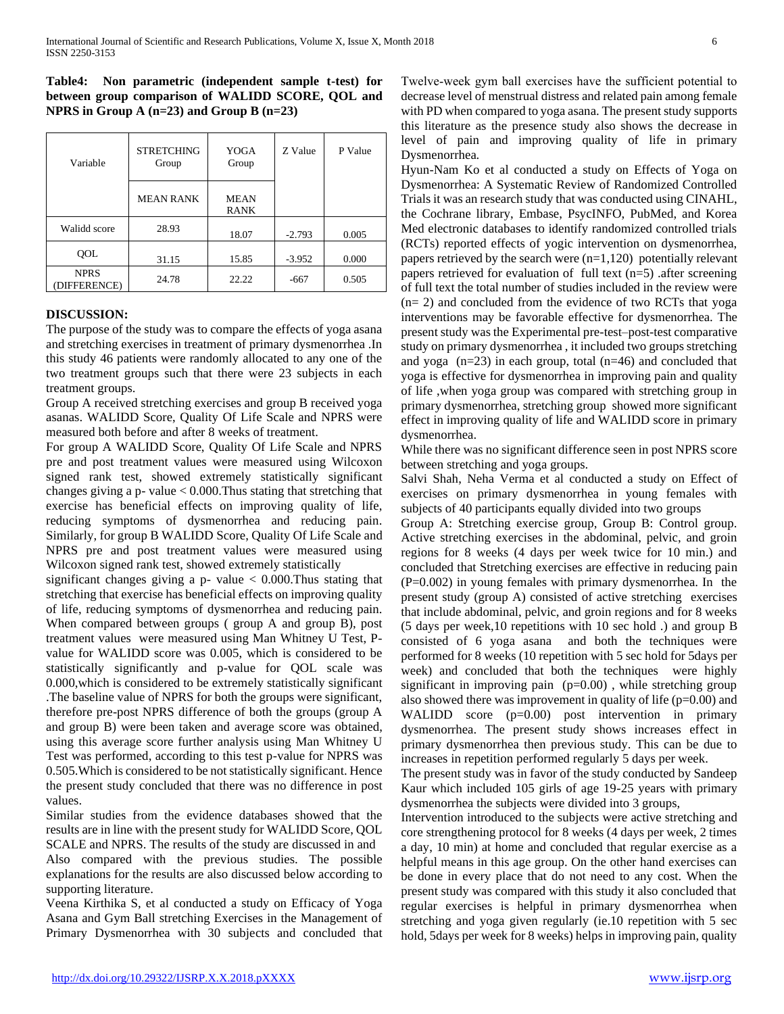**Table4: Non parametric (independent sample t-test) for between group comparison of WALIDD SCORE, QOL and NPRS in Group A (n=23) and Group B (n=23)**

| Variable                    | <b>STRETCHING</b><br>Group | <b>YOGA</b><br>Group       | Z Value  | P Value |
|-----------------------------|----------------------------|----------------------------|----------|---------|
|                             | <b>MEAN RANK</b>           | <b>MEAN</b><br><b>RANK</b> |          |         |
| Walidd score                | 28.93                      | 18.07                      | $-2.793$ | 0.005   |
| QOL                         | 31.15                      | 15.85                      | $-3.952$ | 0.000   |
| <b>NPRS</b><br>(DIFFERENCE) | 24.78                      | 22.22                      | $-667$   | 0.505   |

# **DISCUSSION:**

The purpose of the study was to compare the effects of yoga asana and stretching exercises in treatment of primary dysmenorrhea .In this study 46 patients were randomly allocated to any one of the two treatment groups such that there were 23 subjects in each treatment groups.

Group A received stretching exercises and group B received yoga asanas. WALIDD Score, Quality Of Life Scale and NPRS were measured both before and after 8 weeks of treatment.

For group A WALIDD Score, Quality Of Life Scale and NPRS pre and post treatment values were measured using Wilcoxon signed rank test, showed extremely statistically significant changes giving a p- value < 0.000.Thus stating that stretching that exercise has beneficial effects on improving quality of life, reducing symptoms of dysmenorrhea and reducing pain. Similarly, for group B WALIDD Score, Quality Of Life Scale and NPRS pre and post treatment values were measured using Wilcoxon signed rank test, showed extremely statistically

significant changes giving a  $p$ - value  $< 0.000$ . Thus stating that stretching that exercise has beneficial effects on improving quality of life, reducing symptoms of dysmenorrhea and reducing pain. When compared between groups ( group A and group B), post treatment values were measured using Man Whitney U Test, Pvalue for WALIDD score was 0.005, which is considered to be statistically significantly and p-value for QOL scale was 0.000,which is considered to be extremely statistically significant .The baseline value of NPRS for both the groups were significant, therefore pre-post NPRS difference of both the groups (group A and group B) were been taken and average score was obtained, using this average score further analysis using Man Whitney U Test was performed, according to this test p-value for NPRS was 0.505.Which is considered to be not statistically significant. Hence the present study concluded that there was no difference in post values.

Similar studies from the evidence databases showed that the results are in line with the present study for WALIDD Score, QOL SCALE and NPRS. The results of the study are discussed in and Also compared with the previous studies. The possible explanations for the results are also discussed below according to supporting literature.

Veena Kirthika S, et al conducted a study on Efficacy of Yoga Asana and Gym Ball stretching Exercises in the Management of Primary Dysmenorrhea with 30 subjects and concluded that

Twelve‑week gym ball exercises have the sufficient potential to decrease level of menstrual distress and related pain among female with PD when compared to yoga asana. The present study supports this literature as the presence study also shows the decrease in level of pain and improving quality of life in primary Dysmenorrhea.

Hyun-Nam Ko et al conducted a study on Effects of Yoga on Dysmenorrhea: A Systematic Review of Randomized Controlled Trials it was an research study that was conducted using CINAHL, the Cochrane library, Embase, PsycINFO, PubMed, and Korea Med electronic databases to identify randomized controlled trials (RCTs) reported effects of yogic intervention on dysmenorrhea, papers retrieved by the search were  $(n=1,120)$  potentially relevant papers retrieved for evaluation of full text (n=5) .after screening of full text the total number of studies included in the review were  $(n= 2)$  and concluded from the evidence of two RCTs that yoga interventions may be favorable effective for dysmenorrhea. The present study was the Experimental pre-test–post-test comparative study on primary dysmenorrhea , it included two groups stretching and yoga  $(n=23)$  in each group, total  $(n=46)$  and concluded that yoga is effective for dysmenorrhea in improving pain and quality of life ,when yoga group was compared with stretching group in primary dysmenorrhea, stretching group showed more significant effect in improving quality of life and WALIDD score in primary dysmenorrhea.

While there was no significant difference seen in post NPRS score between stretching and yoga groups.

Salvi Shah, Neha Verma et al conducted a study on Effect of exercises on primary dysmenorrhea in young females with subjects of 40 participants equally divided into two groups

Group A: Stretching exercise group, Group B: Control group. Active stretching exercises in the abdominal, pelvic, and groin regions for 8 weeks (4 days per week twice for 10 min.) and concluded that Stretching exercises are effective in reducing pain (P=0.002) in young females with primary dysmenorrhea. In the present study (group A) consisted of active stretching exercises that include abdominal, pelvic, and groin regions and for 8 weeks (5 days per week,10 repetitions with 10 sec hold .) and group B consisted of 6 yoga asana and both the techniques were performed for 8 weeks (10 repetition with 5 sec hold for 5days per week) and concluded that both the techniques were highly significant in improving pain  $(p=0.00)$ , while stretching group also showed there was improvement in quality of life  $(p=0.00)$  and WALIDD score (p=0.00) post intervention in primary dysmenorrhea. The present study shows increases effect in primary dysmenorrhea then previous study. This can be due to increases in repetition performed regularly 5 days per week.

The present study was in favor of the study conducted by Sandeep Kaur which included 105 girls of age 19-25 years with primary dysmenorrhea the subjects were divided into 3 groups,

Intervention introduced to the subjects were active stretching and core strengthening protocol for 8 weeks (4 days per week, 2 times a day, 10 min) at home and concluded that regular exercise as a helpful means in this age group. On the other hand exercises can be done in every place that do not need to any cost. When the present study was compared with this study it also concluded that regular exercises is helpful in primary dysmenorrhea when stretching and yoga given regularly (ie.10 repetition with 5 sec hold, 5days per week for 8 weeks) helps in improving pain, quality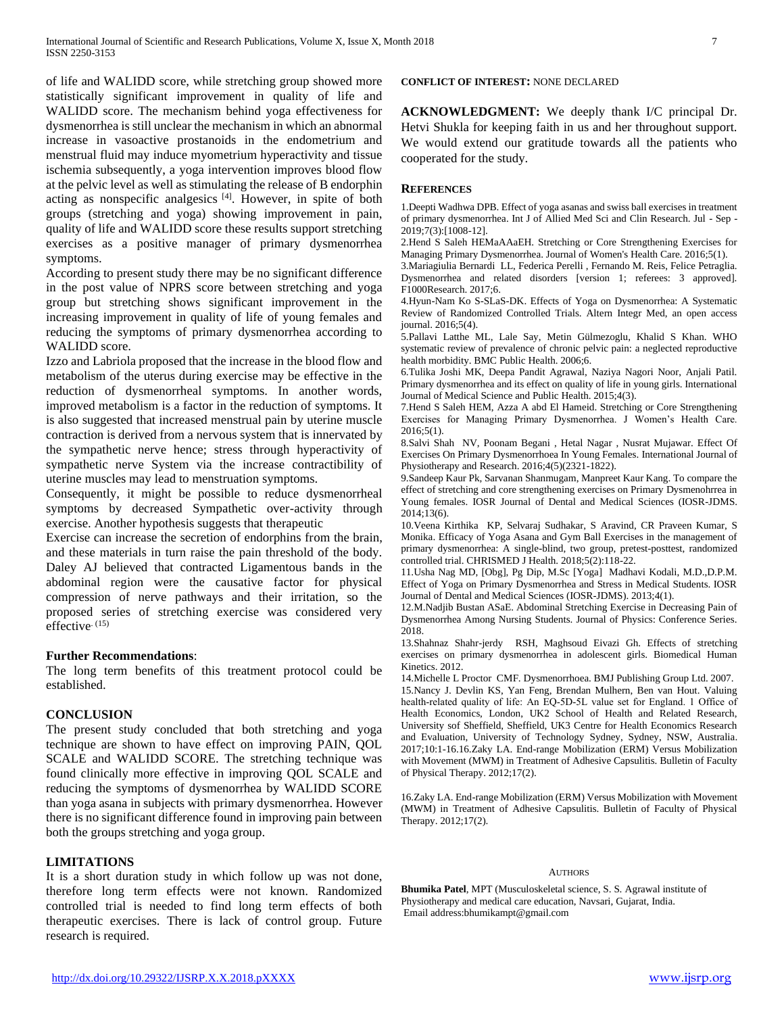of life and WALIDD score, while stretching group showed more statistically significant improvement in quality of life and WALIDD score. The mechanism behind yoga effectiveness for dysmenorrhea is still unclear the mechanism in which an abnormal increase in vasoactive prostanoids in the endometrium and menstrual fluid may induce myometrium hyperactivity and tissue ischemia subsequently, a yoga intervention improves blood flow at the pelvic level as well as stimulating the release of B endorphin acting as nonspecific analgesics [4]. However, in spite of both groups (stretching and yoga) showing improvement in pain, quality of life and WALIDD score these results support stretching exercises as a positive manager of primary dysmenorrhea symptoms.

According to present study there may be no significant difference in the post value of NPRS score between stretching and yoga group but stretching shows significant improvement in the increasing improvement in quality of life of young females and reducing the symptoms of primary dysmenorrhea according to WALIDD score.

Izzo and Labriola proposed that the increase in the blood flow and metabolism of the uterus during exercise may be effective in the reduction of dysmenorrheal symptoms. In another words, improved metabolism is a factor in the reduction of symptoms. It is also suggested that increased menstrual pain by uterine muscle contraction is derived from a nervous system that is innervated by the sympathetic nerve hence; stress through hyperactivity of sympathetic nerve System via the increase contractibility of uterine muscles may lead to menstruation symptoms.

Consequently, it might be possible to reduce dysmenorrheal symptoms by decreased Sympathetic over-activity through exercise. Another hypothesis suggests that therapeutic

Exercise can increase the secretion of endorphins from the brain, and these materials in turn raise the pain threshold of the body. Daley AJ believed that contracted Ligamentous bands in the abdominal region were the causative factor for physical compression of nerve pathways and their irritation, so the proposed series of stretching exercise was considered very effective<sup>(15)</sup>

# **Further Recommendations**:

The long term benefits of this treatment protocol could be established.

# **CONCLUSION**

The present study concluded that both stretching and yoga technique are shown to have effect on improving PAIN, QOL SCALE and WALIDD SCORE. The stretching technique was found clinically more effective in improving QOL SCALE and reducing the symptoms of dysmenorrhea by WALIDD SCORE than yoga asana in subjects with primary dysmenorrhea. However there is no significant difference found in improving pain between both the groups stretching and yoga group.

# **LIMITATIONS**

It is a short duration study in which follow up was not done, therefore long term effects were not known. Randomized controlled trial is needed to find long term effects of both therapeutic exercises. There is lack of control group. Future research is required.

**CONFLICT OF INTEREST:** NONE DECLARED

**ACKNOWLEDGMENT:** We deeply thank I/C principal Dr. Hetvi Shukla for keeping faith in us and her throughout support. We would extend our gratitude towards all the patients who cooperated for the study.

### **REFERENCES**

1.Deepti Wadhwa DPB. Effect of yoga asanas and swiss ball exercises in treatment of primary dysmenorrhea. Int J of Allied Med Sci and Clin Research. Jul - Sep - 2019;7(3):[1008-12].

2.Hend S Saleh HEMaAAaEH. Stretching or Core Strengthening Exercises for Managing Primary Dysmenorrhea. Journal of Women's Health Care. 2016;5(1).

3.Mariagiulia Bernardi LL, Federica Perelli , Fernando M. Reis, Felice Petraglia. Dysmenorrhea and related disorders [version 1; referees: 3 approved]. F1000Research. 2017;6.

4.Hyun-Nam Ko S-SLaS-DK. Effects of Yoga on Dysmenorrhea: A Systematic Review of Randomized Controlled Trials. Altern Integr Med, an open access journal. 2016;5(4).

5.Pallavi Latthe ML, Lale Say, Metin Gülmezoglu, Khalid S Khan. WHO systematic review of prevalence of chronic pelvic pain: a neglected reproductive health morbidity. BMC Public Health. 2006;6.

6.Tulika Joshi MK, Deepa Pandit Agrawal, Naziya Nagori Noor, Anjali Patil. Primary dysmenorrhea and its effect on quality of life in young girls. International Journal of Medical Science and Public Health. 2015;4(3).

7.Hend S Saleh HEM, Azza A abd El Hameid. Stretching or Core Strengthening Exercises for Managing Primary Dysmenorrhea. J Women's Health Care. 2016;5(1).

8.Salvi Shah NV, Poonam Begani , Hetal Nagar , Nusrat Mujawar. Effect Of Exercises On Primary Dysmenorrhoea In Young Females. International Journal of Physiotherapy and Research. 2016;4(5)(2321-1822).

9.Sandeep Kaur Pk, Sarvanan Shanmugam, Manpreet Kaur Kang. To compare the effect of stretching and core strengthening exercises on Primary Dysmenohrrea in Young females. IOSR Journal of Dental and Medical Sciences (IOSR-JDMS. 2014;13(6).

10.Veena Kirthika KP, Selvaraj Sudhakar, S Aravind, CR Praveen Kumar, S Monika. Efficacy of Yoga Asana and Gym Ball Exercises in the management of primary dysmenorrhea: A single-blind, two group, pretest-posttest, randomized controlled trial. CHRISMED J Health. 2018;5(2):118-22.

11.Usha Nag MD, [Obg], Pg Dip, M.Sc [Yoga] Madhavi Kodali, M.D.,D.P.M. Effect of Yoga on Primary Dysmenorrhea and Stress in Medical Students. IOSR Journal of Dental and Medical Sciences (IOSR-JDMS). 2013;4(1).

12.M.Nadjib Bustan ASaE. Abdominal Stretching Exercise in Decreasing Pain of Dysmenorrhea Among Nursing Students. Journal of Physics: Conference Series. 2018.

13.Shahnaz Shahr-jerdy RSH, Maghsoud Eivazi Gh. Effects of stretching exercises on primary dysmenorrhea in adolescent girls. Biomedical Human Kinetics. 2012.

14.Michelle L Proctor CMF. Dysmenorrhoea. BMJ Publishing Group Ltd. 2007. 15.Nancy J. Devlin KS, Yan Feng, Brendan Mulhern, Ben van Hout. Valuing health-related quality of life: An EQ-5D-5L value set for England. 1 Office of Health Economics, London, UK2 School of Health and Related Research, University sof Sheffield, Sheffield, UK3 Centre for Health Economics Research and Evaluation, University of Technology Sydney, Sydney, NSW, Australia. 2017;10:1-16.16.Zaky LA. End-range Mobilization (ERM) Versus Mobilization with Movement (MWM) in Treatment of Adhesive Capsulitis. Bulletin of Faculty of Physical Therapy. 2012;17(2).

16.Zaky LA. End-range Mobilization (ERM) Versus Mobilization with Movement (MWM) in Treatment of Adhesive Capsulitis. Bulletin of Faculty of Physical Therapy. 2012;17(2).

#### **AUTHORS**

**Bhumika Patel**, MPT (Musculoskeletal science, S. S. Agrawal institute of Physiotherapy and medical care education, Navsari, Gujarat, India. Email address:bhumikampt@gmail.com